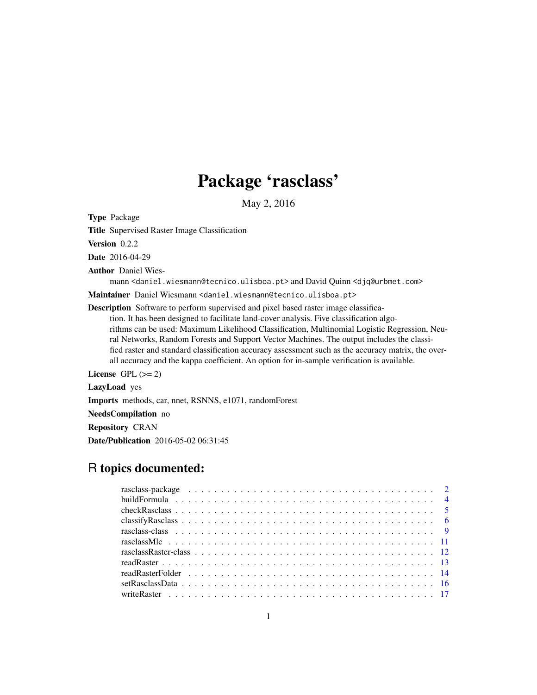# Package 'rasclass'

May 2, 2016

<span id="page-0-0"></span>Type Package

Title Supervised Raster Image Classification

Version 0.2.2

Date 2016-04-29

Author Daniel Wies-

mann <daniel.wiesmann@tecnico.ulisboa.pt> and David Quinn <djq@urbmet.com>

Maintainer Daniel Wiesmann <daniel.wiesmann@tecnico.ulisboa.pt>

Description Software to perform supervised and pixel based raster image classification. It has been designed to facilitate land-cover analysis. Five classification algorithms can be used: Maximum Likelihood Classification, Multinomial Logistic Regression, Neural Networks, Random Forests and Support Vector Machines. The output includes the classified raster and standard classification accuracy assessment such as the accuracy matrix, the overall accuracy and the kappa coefficient. An option for in-sample verification is available.

License GPL  $(>= 2)$ 

LazyLoad yes

Imports methods, car, nnet, RSNNS, e1071, randomForest

NeedsCompilation no

Repository CRAN

Date/Publication 2016-05-02 06:31:45

# R topics documented: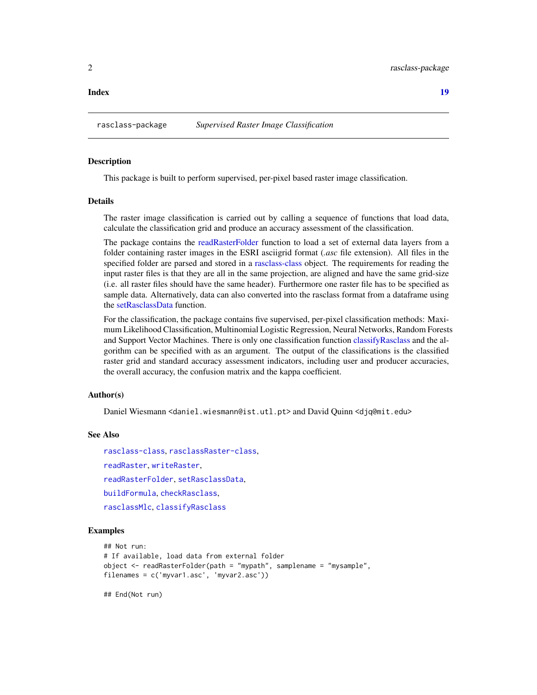#### <span id="page-1-0"></span>**Index** 2008 **Index** 2008 **Index**

<span id="page-1-1"></span>rasclass-package *Supervised Raster Image Classification*

#### <span id="page-1-2"></span>**Description**

This package is built to perform supervised, per-pixel based raster image classification.

# Details

The raster image classification is carried out by calling a sequence of functions that load data, calculate the classification grid and produce an accuracy assessment of the classification.

The package contains the [readRasterFolder](#page-13-1) function to load a set of external data layers from a folder containing raster images in the ESRI asciigrid format (*.asc* file extension). All files in the specified folder are parsed and stored in a [rasclass-class](#page-8-1) object. The requirements for reading the input raster files is that they are all in the same projection, are aligned and have the same grid-size (i.e. all raster files should have the same header). Furthermore one raster file has to be specified as sample data. Alternatively, data can also converted into the rasclass format from a dataframe using the [setRasclassData](#page-15-1) function.

For the classification, the package contains five supervised, per-pixel classification methods: Maximum Likelihood Classification, Multinomial Logistic Regression, Neural Networks, Random Forests and Support Vector Machines. There is only one classification function [classifyRasclass](#page-5-1) and the algorithm can be specified with as an argument. The output of the classifications is the classified raster grid and standard accuracy assessment indicators, including user and producer accuracies, the overall accuracy, the confusion matrix and the kappa coefficient.

# Author(s)

Daniel Wiesmann <daniel.wiesmann@ist.utl.pt> and David Quinn <djq@mit.edu>

# See Also

[rasclass-class](#page-8-1), [rasclassRaster-class](#page-11-1), [readRaster](#page-12-1), [writeRaster](#page-16-1), [readRasterFolder](#page-13-1), [setRasclassData](#page-15-1), [buildFormula](#page-3-1), [checkRasclass](#page-4-1), [rasclassMlc](#page-10-1), [classifyRasclass](#page-5-1)

#### Examples

```
## Not run:
# If available, load data from external folder
object <- readRasterFolder(path = "mypath", samplename = "mysample",
filenames = c('myvar1.asc', 'myvar2.asc'))
```
## End(Not run)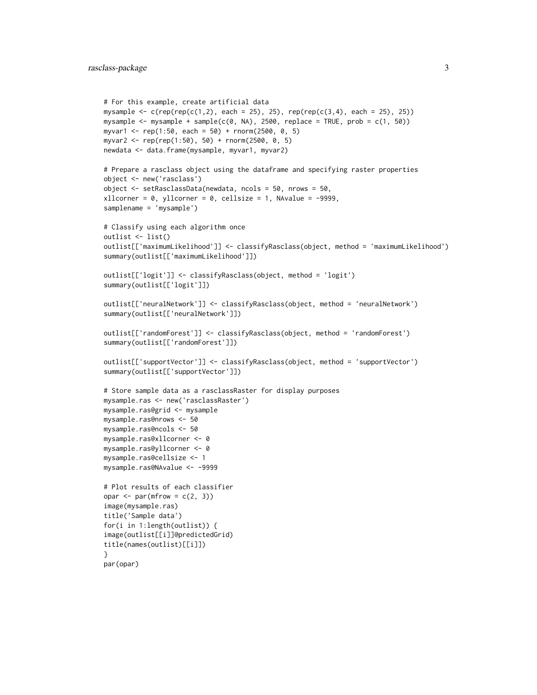```
# For this example, create artificial data
mysample <- c(rep(rep(c(1,2), each = 25), 25), rep(rep(c(3,4), each = 25), 25))mysample <- mysample + sample(c(0, NA), 2500, replace = TRUE, prob = c(1, 50))
myvar1 <- rep(1:50, each = 50) + rnorm(2500, 0, 5)
myvar2 <- rep(rep(1:50), 50) + rnorm(2500, 0, 5)
newdata <- data.frame(mysample, myvar1, myvar2)
# Prepare a rasclass object using the dataframe and specifying raster properties
object <- new('rasclass')
object <- setRasclassData(newdata, ncols = 50, nrows = 50,
xllcorner = 0, yllcorner = 0, cellsize = 1, NAvalue = -9999,
samplename = 'mysample')
# Classify using each algorithm once
outlist <- list()
outlist[['maximumLikelihood']] <- classifyRasclass(object, method = 'maximumLikelihood')
summary(outlist[['maximumLikelihood']])
outlist[['logit']] <- classifyRasclass(object, method = 'logit')
summary(outlist[['logit']])
outlist[['neuralNetwork']] <- classifyRasclass(object, method = 'neuralNetwork')
summary(outlist[['neuralNetwork']])
outlist[['randomForest']] <- classifyRasclass(object, method = 'randomForest')
summary(outlist[['randomForest']])
outlist[['supportVector']] <- classifyRasclass(object, method = 'supportVector')
summary(outlist[['supportVector']])
# Store sample data as a rasclassRaster for display purposes
mysample.ras <- new('rasclassRaster')
mysample.ras@grid <- mysample
mysample.ras@nrows <- 50
mysample.ras@ncols <- 50
mysample.ras@xllcorner <- 0
mysample.ras@yllcorner <- 0
mysample.ras@cellsize <- 1
mysample.ras@NAvalue <- -9999
# Plot results of each classifier
opar \leq par(mfrow = c(2, 3))
image(mysample.ras)
title('Sample data')
for(i in 1:length(outlist)) {
image(outlist[[i]]@predictedGrid)
title(names(outlist)[[i]])
}
par(opar)
```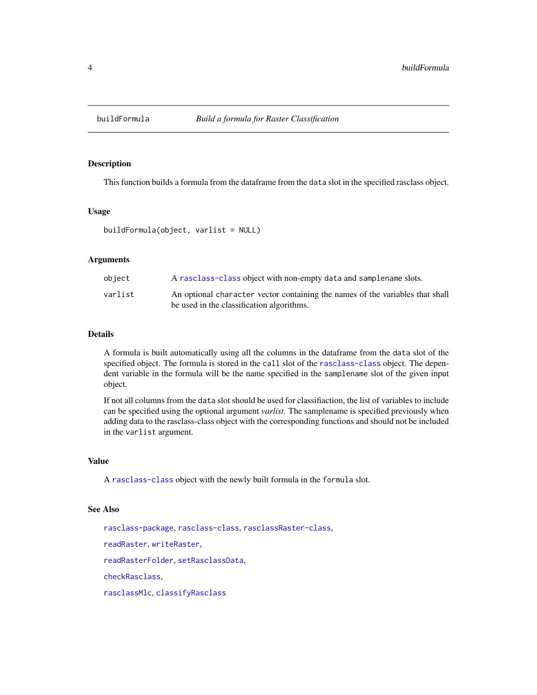<span id="page-3-1"></span><span id="page-3-0"></span>

# Description

This function builds a formula from the dataframe from the data slot in the specified rasclass object.

# Usage

buildFormula(object, varlist = NULL)

# Arguments

| object  | A rasclass-class object with non-empty data and samplename slots.             |
|---------|-------------------------------------------------------------------------------|
| varlist | An optional character vector containing the names of the variables that shall |
|         | be used in the classification algorithms.                                     |

# Details

A formula is built automatically using all the columns in the dataframe from the data slot of the specified object. The formula is stored in the call slot of the [rasclass-class](#page-8-1) object. The dependent variable in the formula will be the name specified in the samplename slot of the given input object.

If not all columns from the data slot should be used for classifiaction, the list of variables to include can be specified using the optional argument *varlist*. The samplename is specified previously when adding data to the rasclass-class object with the corresponding functions and should not be included in the varlist argument.

# Value

A [rasclass-class](#page-8-1) object with the newly built formula in the formula slot.

#### See Also

[rasclass-package](#page-1-1), [rasclass-class](#page-8-1), [rasclassRaster-class](#page-11-1), [readRaster](#page-12-1), [writeRaster](#page-16-1), [readRasterFolder](#page-13-1), [setRasclassData](#page-15-1), [checkRasclass](#page-4-1), [rasclassMlc](#page-10-1), [classifyRasclass](#page-5-1)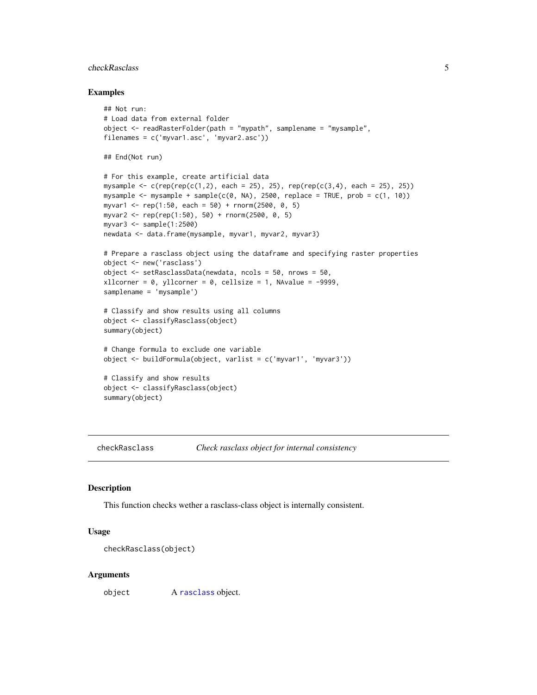# <span id="page-4-0"></span>checkRasclass 5

# Examples

```
## Not run:
# Load data from external folder
object <- readRasterFolder(path = "mypath", samplename = "mysample",
filenames = c('myvar1.asc', 'myvar2.asc'))
## End(Not run)
# For this example, create artificial data
mysample <- c(rep(rep(c(1,2), each = 25), 25), rep(rep(c(3,4), each = 25), 25))mysample <- mysample + sample(c(0, NA), 2500, replace = TRUE, prob = c(1, 10))
myvar1 <- rep(1:50, each = 50) + rnorm(2500, 0, 5)
myvar2 <- rep(rep(1:50), 50) + rnorm(2500, 0, 5)
myvar3 \leq - sample(1:2500)newdata <- data.frame(mysample, myvar1, myvar2, myvar3)
# Prepare a rasclass object using the dataframe and specifying raster properties
object <- new('rasclass')
object <- setRasclassData(newdata, ncols = 50, nrows = 50,
xllcorner = 0, yllcorner = 0, cellsize = 1, NAvalue = -9999,
samplename = 'mysample')
# Classify and show results using all columns
object <- classifyRasclass(object)
summary(object)
# Change formula to exclude one variable
object <- buildFormula(object, varlist = c('myvar1', 'myvar3'))
# Classify and show results
object <- classifyRasclass(object)
summary(object)
```
<span id="page-4-1"></span>checkRasclass *Check rasclass object for internal consistency*

#### Description

This function checks wether a rasclass-class object is internally consistent.

#### Usage

```
checkRasclass(object)
```
#### Arguments

object A [rasclass](#page-1-2) object.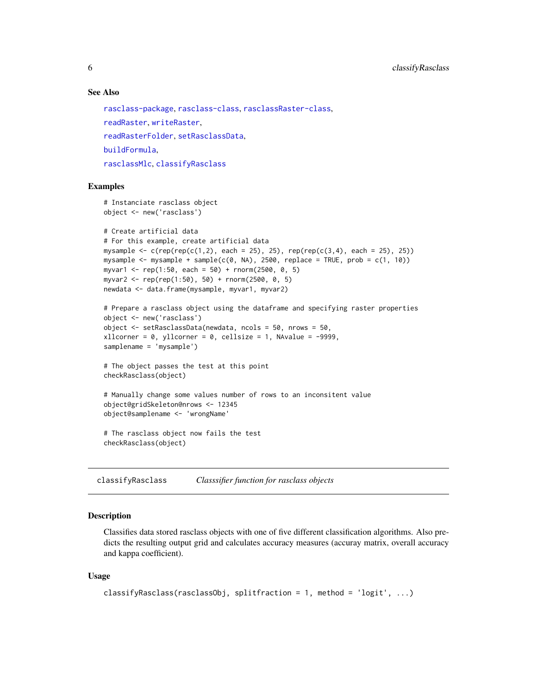# See Also

```
rasclass-package, rasclass-class, rasclassRaster-class,
readRaster, writeRaster,
readRasterFolder, setRasclassData,
buildFormula,
rasclassMlc, classifyRasclass
```
# Examples

```
# Instanciate rasclass object
object <- new('rasclass')
# Create artificial data
# For this example, create artificial data
mysample <- c(rep(rep(c(1,2), each = 25), 25), rep(rep(c(3,4), each = 25), 25))
mysample \leq mysample + sample(c(0, NA), 2500, replace = TRUE, prob = c(1, 10))
myvar1 <- rep(1:50, each = 50) + rnorm(2500, 0, 5)myvar2 <- rep(rep(1:50), 50) + rnorm(2500, 0, 5)
newdata <- data.frame(mysample, myvar1, myvar2)
# Prepare a rasclass object using the dataframe and specifying raster properties
object <- new('rasclass')
object <- setRasclassData(newdata, ncols = 50, nrows = 50,
xllcorner = 0, yllcorner = 0, cellsize = 1, NAvalue = -9999,
samplename = 'mysample')
# The object passes the test at this point
checkRasclass(object)
# Manually change some values number of rows to an inconsitent value
object@gridSkeleton@nrows <- 12345
object@samplename <- 'wrongName'
# The rasclass object now fails the test
checkRasclass(object)
```
<span id="page-5-1"></span>classifyRasclass *Classsifier function for rasclass objects*

# **Description**

Classifies data stored rasclass objects with one of five different classification algorithms. Also predicts the resulting output grid and calculates accuracy measures (accuray matrix, overall accuracy and kappa coefficient).

# Usage

```
classifyRasclass(rasclassObj, splitfraction = 1, method = 'logit', ...)
```
<span id="page-5-0"></span>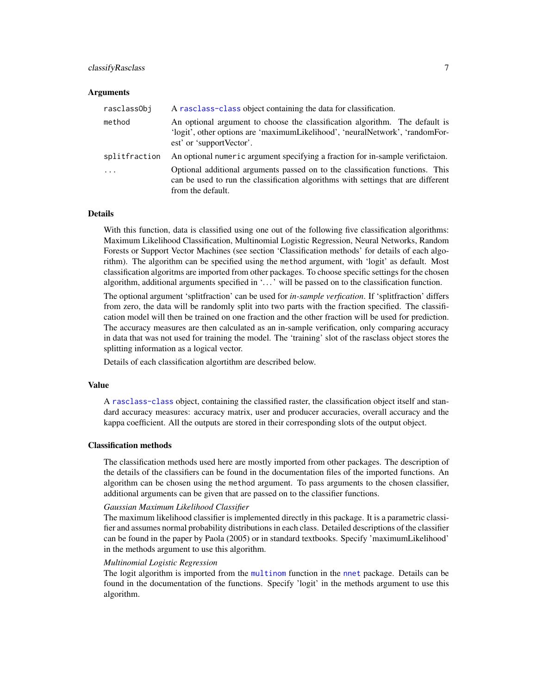# <span id="page-6-0"></span>classifyRasclass 7

# Arguments

| rasclassObj   | A rasclass-class object containing the data for classification.                                                                                                                         |
|---------------|-----------------------------------------------------------------------------------------------------------------------------------------------------------------------------------------|
| method        | An optional argument to choose the classification algorithm. The default is<br>'logit', other options are 'maximumLikelihood', 'neuralNetwork', 'randomFor-<br>est' or 'supportVector'. |
| splitfraction | An optional numeric argument specifying a fraction for in-sample verifictaion.                                                                                                          |
| $\ddots$ .    | Optional additional arguments passed on to the classification functions. This<br>can be used to run the classification algorithms with settings that are different<br>from the default. |

# Details

With this function, data is classified using one out of the following five classification algorithms: Maximum Likelihood Classification, Multinomial Logistic Regression, Neural Networks, Random Forests or Support Vector Machines (see section 'Classification methods' for details of each algorithm). The algorithm can be specified using the method argument, with 'logit' as default. Most classification algoritms are imported from other packages. To choose specific settings for the chosen algorithm, additional arguments specified in '. . . ' will be passed on to the classification function.

The optional argument 'splitfraction' can be used for *in-sample verfication*. If 'splitfraction' differs from zero, the data will be randomly split into two parts with the fraction specified. The classification model will then be trained on one fraction and the other fraction will be used for prediction. The accuracy measures are then calculated as an in-sample verification, only comparing accuracy in data that was not used for training the model. The 'training' slot of the rasclass object stores the splitting information as a logical vector.

Details of each classification algortithm are described below.

#### Value

A [rasclass-class](#page-8-1) object, containing the classified raster, the classification object itself and standard accuracy measures: accuracy matrix, user and producer accuracies, overall accuracy and the kappa coefficient. All the outputs are stored in their corresponding slots of the output object.

# Classification methods

The classification methods used here are mostly imported from other packages. The description of the details of the classifiers can be found in the documentation files of the imported functions. An algorithm can be chosen using the method argument. To pass arguments to the chosen classifier, additional arguments can be given that are passed on to the classifier functions.

## *Gaussian Maximum Likelihood Classifier*

The maximum likelihood classifier is implemented directly in this package. It is a parametric classifier and assumes normal probability distributions in each class. Detailed descriptions of the classifier can be found in the paper by Paola (2005) or in standard textbooks. Specify 'maximumLikelihood' in the methods argument to use this algorithm.

#### *Multinomial Logistic Regression*

The logit algorithm is imported from the [multinom](#page-0-0) function in the [nnet](#page-0-0) package. Details can be found in the documentation of the functions. Specify 'logit' in the methods argument to use this algorithm.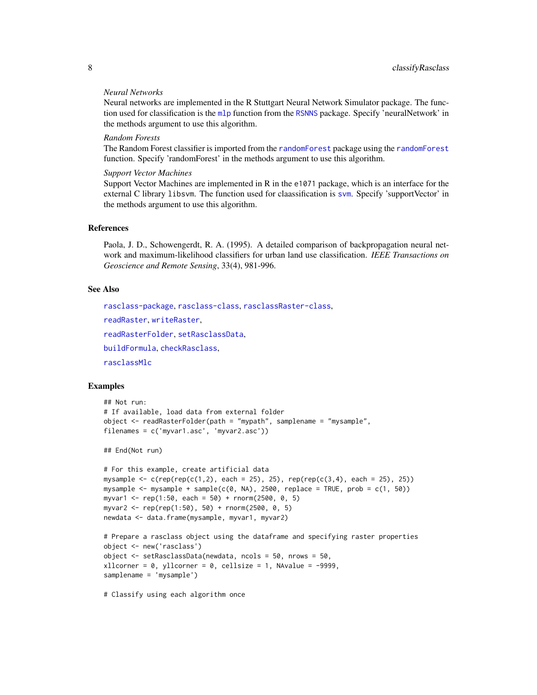# <span id="page-7-0"></span>*Neural Networks*

Neural networks are implemented in the R Stuttgart Neural Network Simulator package. The func-tion used for classification is the m<sub>1</sub>p function from the [RSNNS](#page-0-0) package. Specify 'neuralNetwork' in the methods argument to use this algorithm.

#### *Random Forests*

The Random Forest classifier is imported from the [randomForest](#page-0-0) package using the [randomForest](#page-0-0) function. Specify 'randomForest' in the methods argument to use this algorithm.

# *Support Vector Machines*

Support Vector Machines are implemented in R in the e1071 package, which is an interface for the external C library libsvm. The function used for claassification is [svm](#page-0-0). Specify 'supportVector' in the methods argument to use this algorithm.

# References

Paola, J. D., Schowengerdt, R. A. (1995). A detailed comparison of backpropagation neural network and maximum-likelihood classifiers for urban land use classification. *IEEE Transactions on Geoscience and Remote Sensing*, 33(4), 981-996.

# See Also

[rasclass-package](#page-1-1), [rasclass-class](#page-8-1), [rasclassRaster-class](#page-11-1), [readRaster](#page-12-1), [writeRaster](#page-16-1), [readRasterFolder](#page-13-1), [setRasclassData](#page-15-1), [buildFormula](#page-3-1), [checkRasclass](#page-4-1), [rasclassMlc](#page-10-1)

# Examples

```
## Not run:
# If available, load data from external folder
object <- readRasterFolder(path = "mypath", samplename = "mysample",
filenames = c('myvar1.asc', 'myvar2.asc'))
## End(Not run)
# For this example, create artificial data
mysample \leq c(rep(rep(c(1,2), each = 25), 25), rep(rep(c(3,4), each = 25), 25))
mysample \leq mysample + sample(c(0, NA), 2500, replace = TRUE, prob = c(1, 50))
myvar1 <- rep(1:50, each = 50) + rnorm(2500, 0, 5)
myvar2 <- rep(rep(1:50), 50) + rnorm(2500, 0, 5)
newdata <- data.frame(mysample, myvar1, myvar2)
# Prepare a rasclass object using the dataframe and specifying raster properties
object <- new('rasclass')
object <- setRasclassData(newdata, ncols = 50, nrows = 50,
x11 corner = 0, y11 corner = 0, cellsize = 1, NAvailable = -9999,
samplename = 'mysample')
```
# Classify using each algorithm once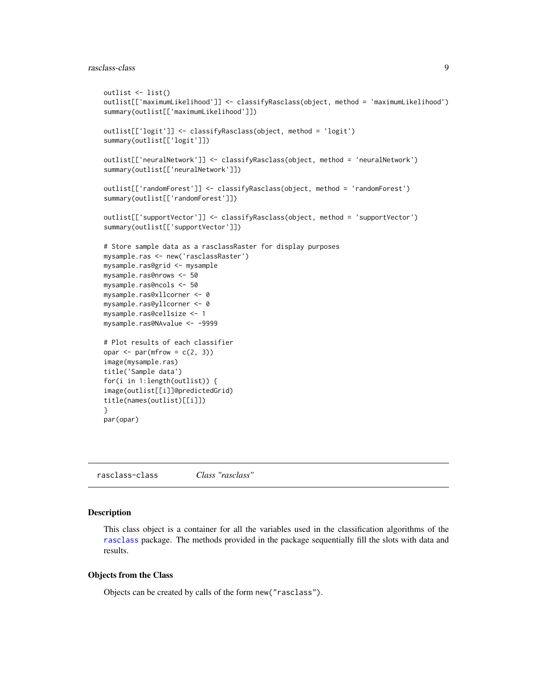```
outlist <- list()
outlist[['maximumLikelihood']] <- classifyRasclass(object, method = 'maximumLikelihood')
summary(outlist[['maximumLikelihood']])
outlist[['logit']] <- classifyRasclass(object, method = 'logit')
summary(outlist[['logit']])
outlist[['neuralNetwork']] <- classifyRasclass(object, method = 'neuralNetwork')
summary(outlist[['neuralNetwork']])
outlist[['randomForest']] <- classifyRasclass(object, method = 'randomForest')
summary(outlist[['randomForest']])
outlist[['supportVector']] <- classifyRasclass(object, method = 'supportVector')
summary(outlist[['supportVector']])
# Store sample data as a rasclassRaster for display purposes
mysample.ras <- new('rasclassRaster')
mysample.ras@grid <- mysample
mysample.ras@nrows <- 50
mysample.ras@ncols <- 50
mysample.ras@xllcorner <- 0
mysample.ras@yllcorner <- 0
mysample.ras@cellsize <- 1
mysample.ras@NAvalue <- -9999
# Plot results of each classifier
opar \leq par(mfrow = c(2, 3))
image(mysample.ras)
title('Sample data')
for(i in 1:length(outlist)) {
image(outlist[[i]]@predictedGrid)
title(names(outlist)[[i]])
}
par(opar)
```
<span id="page-8-1"></span>rasclass-class *Class "rasclass"*

# **Description**

This class object is a container for all the variables used in the classification algorithms of the [rasclass](#page-1-2) package. The methods provided in the package sequentially fill the slots with data and results.

#### Objects from the Class

Objects can be created by calls of the form new("rasclass").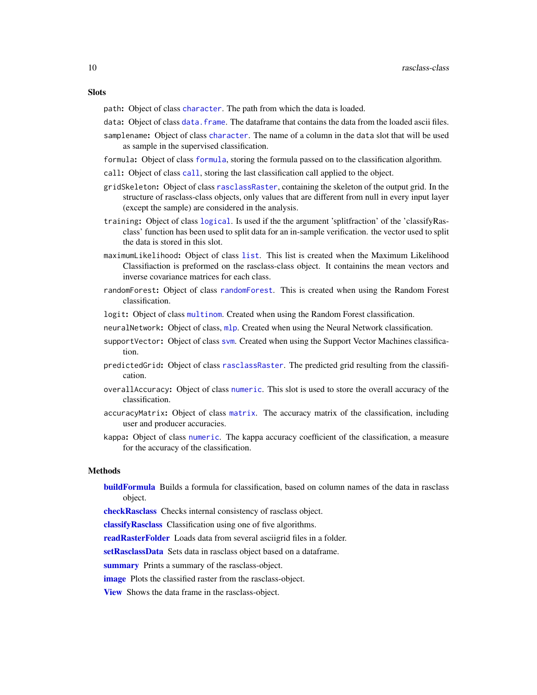<span id="page-9-0"></span>**Slots** 

path: Object of class [character](#page-0-0). The path from which the data is loaded.

data: Object of class data. frame. The dataframe that contains the data from the loaded ascii files.

- samplename: Object of class [character](#page-0-0). The name of a column in the data slot that will be used as sample in the supervised classification.
- formula: Object of class [formula](#page-0-0), storing the formula passed on to the classification algorithm.
- call: Object of class [call](#page-0-0), storing the last classification call applied to the object.
- gridSkeleton: Object of class [rasclassRaster](#page-11-2), containing the skeleton of the output grid. In the structure of rasclass-class objects, only values that are different from null in every input layer (except the sample) are considered in the analysis.
- training: Object of class [logical](#page-0-0). Is used if the the argument 'splitfraction' of the 'classifyRasclass' function has been used to split data for an in-sample verification. the vector used to split the data is stored in this slot.
- maximumLikelihood: Object of class [list](#page-0-0). This list is created when the Maximum Likelihood Classifiaction is preformed on the rasclass-class object. It containins the mean vectors and inverse covariance matrices for each class.
- randomForest: Object of class [randomForest](#page-0-0). This is created when using the Random Forest classification.
- logit: Object of class [multinom](#page-0-0). Created when using the Random Forest classification.
- neuralNetwork: Object of class, [mlp](#page-0-0). Created when using the Neural Network classification.
- supportVector: Object of class [svm](#page-0-0). Created when using the Support Vector Machines classification.
- predictedGrid: Object of class [rasclassRaster](#page-11-2). The predicted grid resulting from the classification.
- overallAccuracy: Object of class [numeric](#page-0-0). This slot is used to store the overall accuracy of the classification.
- accuracyMatrix: Object of class [matrix](#page-0-0). The accuracy matrix of the classification, including user and producer accuracies.
- kappa: Object of class [numeric](#page-0-0). The kappa accuracy coefficient of the classification, a measure for the accuracy of the classification.

# Methods

- **[buildFormula](#page-3-1)** Builds a formula for classification, based on column names of the data in rasclass object.
- [checkRasclass](#page-4-1) Checks internal consistency of rasclass object.

[classifyRasclass](#page-5-1) Classification using one of five algorithms.

[readRasterFolder](#page-13-1) Loads data from several asciigrid files in a folder.

[setRasclassData](#page-15-1) Sets data in rasclass object based on a dataframe.

[summary](#page-0-0) Prints a summary of the rasclass-object.

[image](#page-0-0) Plots the classified raster from the rasclass-object.

[View](#page-0-0) Shows the data frame in the rasclass-object.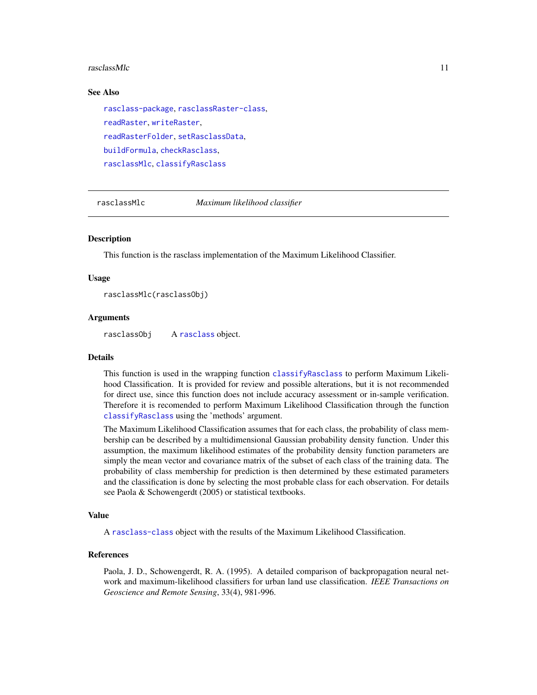#### <span id="page-10-0"></span> $r$ asclassMlc  $\qquad \qquad$  11

#### See Also

[rasclass-package](#page-1-1), [rasclassRaster-class](#page-11-1), [readRaster](#page-12-1), [writeRaster](#page-16-1), [readRasterFolder](#page-13-1), [setRasclassData](#page-15-1), [buildFormula](#page-3-1), [checkRasclass](#page-4-1), [rasclassMlc](#page-10-1), [classifyRasclass](#page-5-1)

<span id="page-10-1"></span>

rasclassMlc *Maximum likelihood classifier*

# **Description**

This function is the rasclass implementation of the Maximum Likelihood Classifier.

#### Usage

rasclassMlc(rasclassObj)

# Arguments

rasclassObj A [rasclass](#page-1-2) object.

# Details

This function is used in the wrapping function [classifyRasclass](#page-5-1) to perform Maximum Likelihood Classification. It is provided for review and possible alterations, but it is not recommended for direct use, since this function does not include accuracy assessment or in-sample verification. Therefore it is recomended to perform Maximum Likelihood Classification through the function [classifyRasclass](#page-5-1) using the 'methods' argument.

The Maximum Likelihood Classification assumes that for each class, the probability of class membership can be described by a multidimensional Gaussian probability density function. Under this assumption, the maximum likelihood estimates of the probability density function parameters are simply the mean vector and covariance matrix of the subset of each class of the training data. The probability of class membership for prediction is then determined by these estimated parameters and the classification is done by selecting the most probable class for each observation. For details see Paola & Schowengerdt (2005) or statistical textbooks.

# Value

A [rasclass-class](#page-8-1) object with the results of the Maximum Likelihood Classification.

#### References

Paola, J. D., Schowengerdt, R. A. (1995). A detailed comparison of backpropagation neural network and maximum-likelihood classifiers for urban land use classification. *IEEE Transactions on Geoscience and Remote Sensing*, 33(4), 981-996.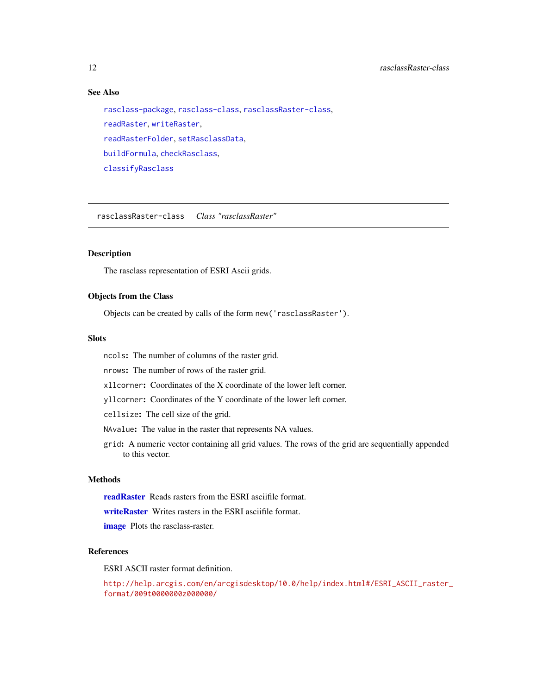# See Also

[rasclass-package](#page-1-1), [rasclass-class](#page-8-1), [rasclassRaster-class](#page-11-1), [readRaster](#page-12-1), [writeRaster](#page-16-1), [readRasterFolder](#page-13-1), [setRasclassData](#page-15-1), [buildFormula](#page-3-1), [checkRasclass](#page-4-1), [classifyRasclass](#page-5-1)

<span id="page-11-1"></span>rasclassRaster-class *Class "rasclassRaster"*

# <span id="page-11-2"></span>Description

The rasclass representation of ESRI Ascii grids.

# Objects from the Class

Objects can be created by calls of the form new('rasclassRaster').

# Slots

ncols: The number of columns of the raster grid.

nrows: The number of rows of the raster grid.

xllcorner: Coordinates of the X coordinate of the lower left corner.

yllcorner: Coordinates of the Y coordinate of the lower left corner.

cellsize: The cell size of the grid.

NAvalue: The value in the raster that represents NA values.

grid: A numeric vector containing all grid values. The rows of the grid are sequentially appended to this vector.

#### Methods

[readRaster](#page-12-1) Reads rasters from the ESRI asciifile format.

[writeRaster](#page-16-1) Writes rasters in the ESRI asciifile format.

[image](#page-0-0) Plots the rasclass-raster.

# References

ESRI ASCII raster format definition.

[http://help.arcgis.com/en/arcgisdesktop/10.0/help/index.html#/ESRI\\_ASCII\\_raster\\_](http://help.arcgis.com/en/arcgisdesktop/10.0/help/index.html#/ESRI_ASCII_raster_format/009t0000000z000000/) [format/009t0000000z000000/](http://help.arcgis.com/en/arcgisdesktop/10.0/help/index.html#/ESRI_ASCII_raster_format/009t0000000z000000/)

<span id="page-11-0"></span>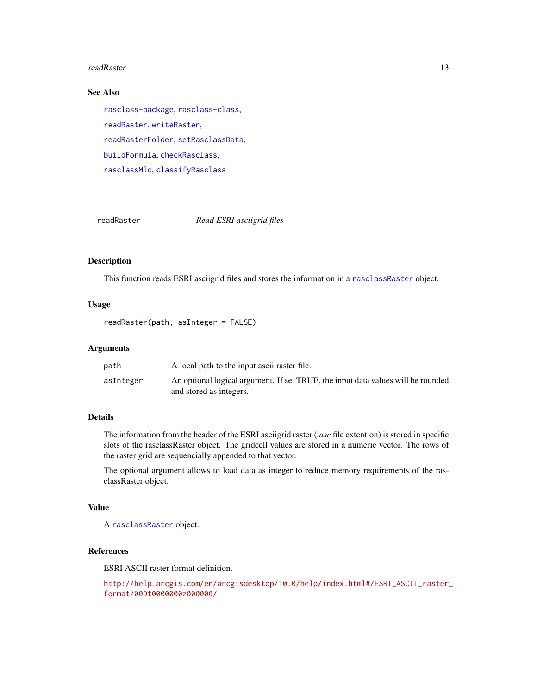#### <span id="page-12-0"></span>readRaster 13

# See Also

[rasclass-package](#page-1-1), [rasclass-class](#page-8-1), [readRaster](#page-12-1), [writeRaster](#page-16-1), [readRasterFolder](#page-13-1), [setRasclassData](#page-15-1), [buildFormula](#page-3-1), [checkRasclass](#page-4-1), [rasclassMlc](#page-10-1), [classifyRasclass](#page-5-1)

<span id="page-12-1"></span>

readRaster *Read ESRI asciigrid files*

# Description

This function reads ESRI asciigrid files and stores the information in a [rasclassRaster](#page-11-2) object.

# Usage

readRaster(path, asInteger = FALSE)

# Arguments

| path      | A local path to the input ascii raster file.                                                                |
|-----------|-------------------------------------------------------------------------------------------------------------|
| asInteger | An optional logical argument. If set TRUE, the input data values will be rounded<br>and stored as integers. |
|           |                                                                                                             |

# Details

The information from the header of the ESRI asciigrid raster (*.asc* file extention) is stored in specific slots of the rasclassRaster object. The gridcell values are stored in a numeric vector. The rows of the raster grid are sequencially appended to that vector.

The optional argument allows to load data as integer to reduce memory requirements of the rasclassRaster object.

# Value

A [rasclassRaster](#page-11-2) object.

# References

ESRI ASCII raster format definition.

[http://help.arcgis.com/en/arcgisdesktop/10.0/help/index.html#/ESRI\\_ASCII\\_raster\\_](http://help.arcgis.com/en/arcgisdesktop/10.0/help/index.html#/ESRI_ASCII_raster_format/009t0000000z000000/) [format/009t0000000z000000/](http://help.arcgis.com/en/arcgisdesktop/10.0/help/index.html#/ESRI_ASCII_raster_format/009t0000000z000000/)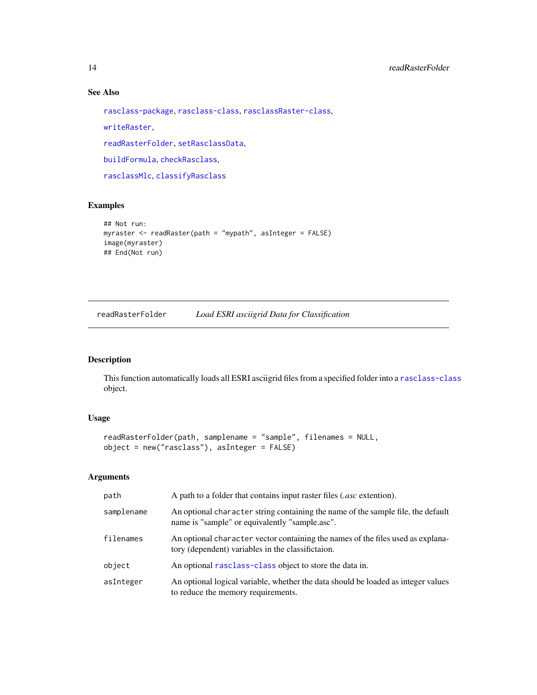# See Also

```
rasclass-package, rasclass-class, rasclassRaster-class,
writeRaster,
readRasterFolder, setRasclassData,
buildFormula, checkRasclass,
rasclassMlc, classifyRasclass
```
# Examples

```
## Not run:
myraster <- readRaster(path = "mypath", asInteger = FALSE)
image(myraster)
## End(Not run)
```
<span id="page-13-1"></span>readRasterFolder *Load ESRI asciigrid Data for Classification*

# Description

This function automatically loads all ESRI asciigrid files from a specified folder into a [rasclass-class](#page-8-1) object.

# Usage

```
readRasterFolder(path, samplename = "sample", filenames = NULL,
object = new("rasclass"), asInteger = FALSE)
```
# Arguments

| path       | A path to a folder that contains input raster files ( <i>asc</i> extention).                                                         |
|------------|--------------------------------------------------------------------------------------------------------------------------------------|
| samplename | An optional character string containing the name of the sample file, the default<br>name is "sample" or equivalently "sample.asc".   |
| filenames  | An optional character vector containing the names of the files used as explana-<br>tory (dependent) variables in the classifictaion. |
| object     | An optional rasclass-class object to store the data in.                                                                              |
| asInteger  | An optional logical variable, whether the data should be loaded as integer values<br>to reduce the memory requirements.              |

<span id="page-13-0"></span>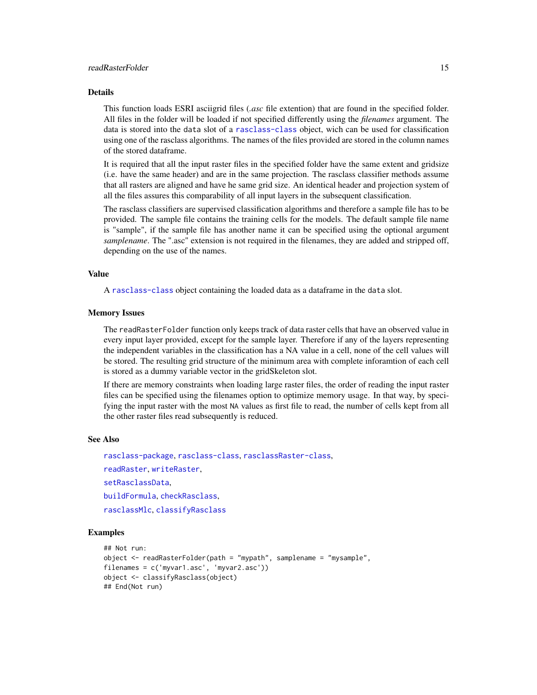#### <span id="page-14-0"></span>readRasterFolder 15

#### Details

This function loads ESRI asciigrid files (*.asc* file extention) that are found in the specified folder. All files in the folder will be loaded if not specified differently using the *filenames* argument. The data is stored into the data slot of a [rasclass-class](#page-8-1) object, wich can be used for classification using one of the rasclass algorithms. The names of the files provided are stored in the column names of the stored dataframe.

It is required that all the input raster files in the specified folder have the same extent and gridsize (i.e. have the same header) and are in the same projection. The rasclass classifier methods assume that all rasters are aligned and have he same grid size. An identical header and projection system of all the files assures this comparability of all input layers in the subsequent classification.

The rasclass classifiers are supervised classification algorithms and therefore a sample file has to be provided. The sample file contains the training cells for the models. The default sample file name is "sample", if the sample file has another name it can be specified using the optional argument *samplename*. The ".asc" extension is not required in the filenames, they are added and stripped off, depending on the use of the names.

#### Value

A [rasclass-class](#page-8-1) object containing the loaded data as a dataframe in the data slot.

# Memory Issues

The readRasterFolder function only keeps track of data raster cells that have an observed value in every input layer provided, except for the sample layer. Therefore if any of the layers representing the independent variables in the classification has a NA value in a cell, none of the cell values will be stored. The resulting grid structure of the minimum area with complete inforamtion of each cell is stored as a dummy variable vector in the gridSkeleton slot.

If there are memory constraints when loading large raster files, the order of reading the input raster files can be specified using the filenames option to optimize memory usage. In that way, by specifying the input raster with the most NA values as first file to read, the number of cells kept from all the other raster files read subsequently is reduced.

#### See Also

[rasclass-package](#page-1-1), [rasclass-class](#page-8-1), [rasclassRaster-class](#page-11-1), [readRaster](#page-12-1), [writeRaster](#page-16-1), [setRasclassData](#page-15-1), [buildFormula](#page-3-1), [checkRasclass](#page-4-1), [rasclassMlc](#page-10-1), [classifyRasclass](#page-5-1)

#### Examples

```
## Not run:
object <- readRasterFolder(path = "mypath", samplename = "mysample",
filenames = c('myvar1.asc', 'myvar2.asc'))
object <- classifyRasclass(object)
## End(Not run)
```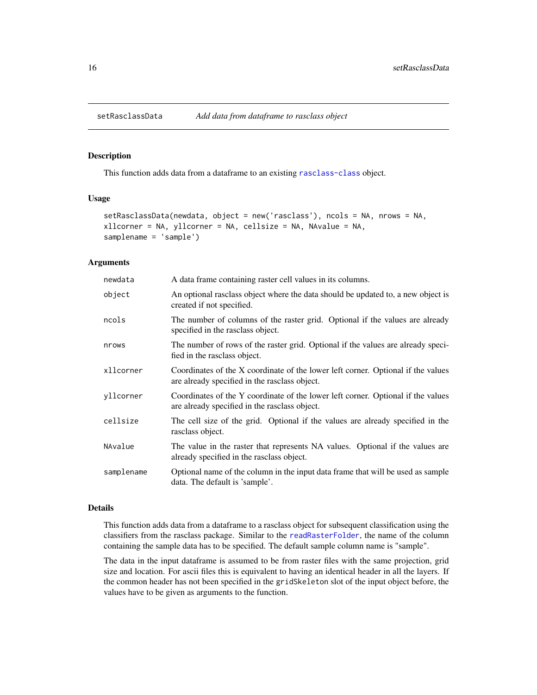<span id="page-15-1"></span><span id="page-15-0"></span>

# Description

This function adds data from a dataframe to an existing [rasclass-class](#page-8-1) object.

# Usage

```
setRasclassData(newdata, object = new('rasclass'), ncols = NA, nrows = NA,
xllcorner = NA, yllcorner = NA, cellsize = NA, NAvalue = NA,
samplename = 'sample')
```
# Arguments

| newdata    | A data frame containing raster cell values in its columns.                                                                        |
|------------|-----------------------------------------------------------------------------------------------------------------------------------|
| object     | An optional rasclass object where the data should be updated to, a new object is<br>created if not specified.                     |
| ncols      | The number of columns of the raster grid. Optional if the values are already<br>specified in the rasclass object.                 |
| nrows      | The number of rows of the raster grid. Optional if the values are already speci-<br>fied in the rasclass object.                  |
| xllcorner  | Coordinates of the X coordinate of the lower left corner. Optional if the values<br>are already specified in the rasclass object. |
| yllcorner  | Coordinates of the Y coordinate of the lower left corner. Optional if the values<br>are already specified in the rasclass object. |
| cellsize   | The cell size of the grid. Optional if the values are already specified in the<br>rasclass object.                                |
| NAvalue    | The value in the raster that represents NA values. Optional if the values are<br>already specified in the rasclass object.        |
| samplename | Optional name of the column in the input data frame that will be used as sample<br>data. The default is 'sample'.                 |

# Details

This function adds data from a dataframe to a rasclass object for subsequent classification using the classifiers from the rasclass package. Similar to the [readRasterFolder](#page-13-1), the name of the column containing the sample data has to be specified. The default sample column name is "sample".

The data in the input dataframe is assumed to be from raster files with the same projection, grid size and location. For ascii files this is equivalent to having an identical header in all the layers. If the common header has not been specified in the gridSkeleton slot of the input object before, the values have to be given as arguments to the function.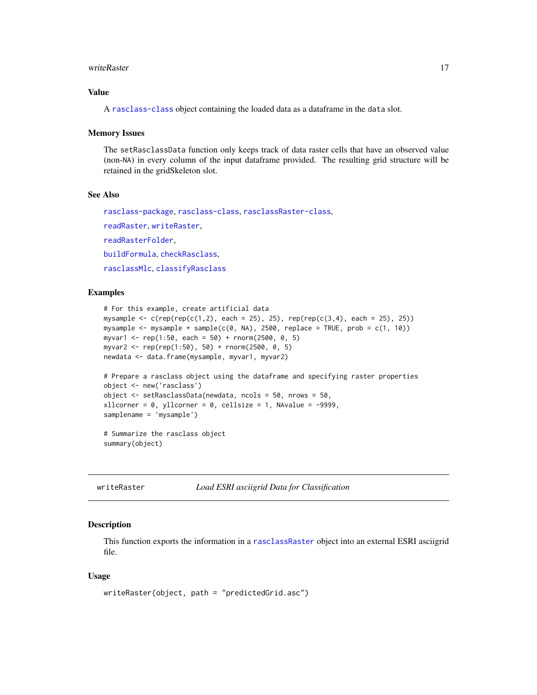#### <span id="page-16-0"></span>writeRaster 17

# Value

A [rasclass-class](#page-8-1) object containing the loaded data as a dataframe in the data slot.

# Memory Issues

The setRasclassData function only keeps track of data raster cells that have an observed value (non-NA) in every column of the input dataframe provided. The resulting grid structure will be retained in the gridSkeleton slot.

# See Also

[rasclass-package](#page-1-1), [rasclass-class](#page-8-1), [rasclassRaster-class](#page-11-1), [readRaster](#page-12-1), [writeRaster](#page-16-1), [readRasterFolder](#page-13-1), [buildFormula](#page-3-1), [checkRasclass](#page-4-1), [rasclassMlc](#page-10-1), [classifyRasclass](#page-5-1)

# Examples

```
# For this example, create artificial data
mysample <- c(rep(rep(c(1,2), each = 25), 25), rep(rep(c(3,4), each = 25), 25))
mysample <- mysample + sample(c(0, NA), 2500, replace = TRUE, prob = c(1, 10))
myvar1 <- rep(1:50, each = 50) + rnorm(2500, 0, 5)
myvar2 <- rep(rep(1:50), 50) + rnorm(2500, 0, 5)
newdata <- data.frame(mysample, myvar1, myvar2)
# Prepare a rasclass object using the dataframe and specifying raster properties
object <- new('rasclass')
object <- setRasclassData(newdata, ncols = 50, nrows = 50,
xllcorner = 0, yllcorner = 0, cellsize = 1, NAvalue = -9999,
samplename = 'mysample')
# Summarize the rasclass object
summary(object)
```
<span id="page-16-1"></span>writeRaster *Load ESRI asciigrid Data for Classification*

#### Description

This function exports the information in a [rasclassRaster](#page-11-2) object into an external ESRI asciigrid file.

# Usage

```
writeRaster(object, path = "predictedGrid.asc")
```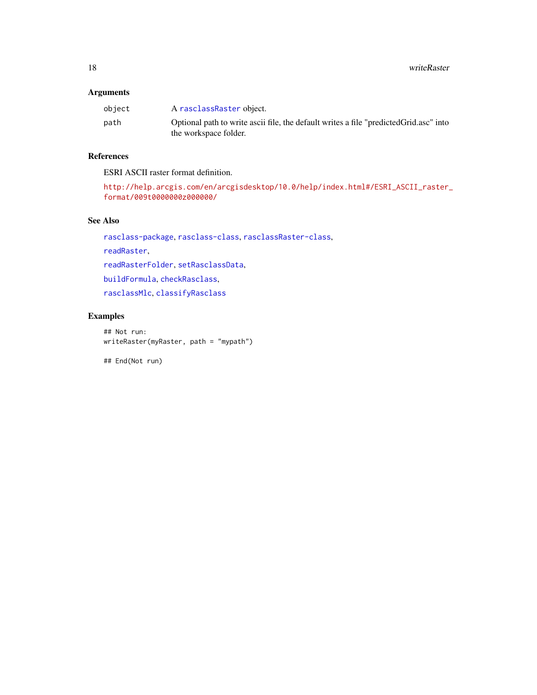# <span id="page-17-0"></span>Arguments

| object | A rasclassRaster object.                                                                                        |
|--------|-----------------------------------------------------------------------------------------------------------------|
| path   | Optional path to write ascii file, the default writes a file "predicted Grid.asc" into<br>the workspace folder. |

# References

ESRI ASCII raster format definition.

[http://help.arcgis.com/en/arcgisdesktop/10.0/help/index.html#/ESRI\\_ASCII\\_raster\\_](http://help.arcgis.com/en/arcgisdesktop/10.0/help/index.html#/ESRI_ASCII_raster_format/009t0000000z000000/) [format/009t0000000z000000/](http://help.arcgis.com/en/arcgisdesktop/10.0/help/index.html#/ESRI_ASCII_raster_format/009t0000000z000000/)

# See Also

[rasclass-package](#page-1-1), [rasclass-class](#page-8-1), [rasclassRaster-class](#page-11-1),

[readRaster](#page-12-1),

[readRasterFolder](#page-13-1), [setRasclassData](#page-15-1),

[buildFormula](#page-3-1), [checkRasclass](#page-4-1),

[rasclassMlc](#page-10-1), [classifyRasclass](#page-5-1)

# Examples

## Not run: writeRaster(myRaster, path = "mypath")

## End(Not run)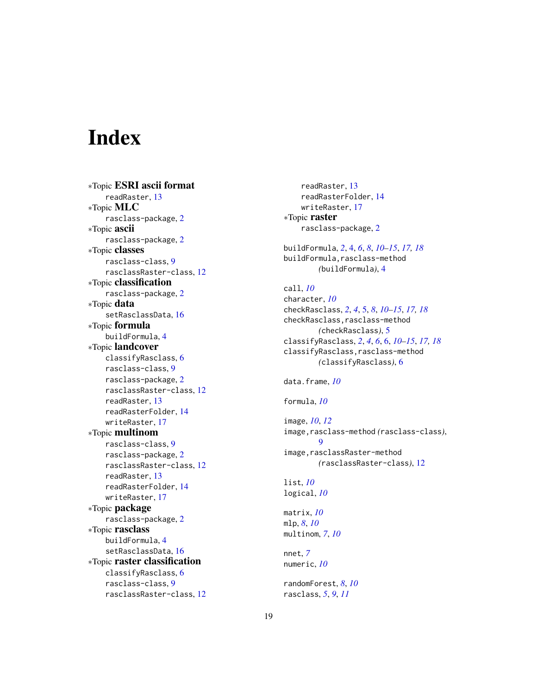# <span id="page-18-0"></span>Index

∗Topic ESRI ascii format readRaster, [13](#page-12-0) ∗Topic MLC rasclass-package, [2](#page-1-0) ∗Topic ascii rasclass-package, [2](#page-1-0) ∗Topic classes rasclass-class, [9](#page-8-0) rasclassRaster-class, [12](#page-11-0) ∗Topic classification rasclass-package, [2](#page-1-0) ∗Topic data setRasclassData, [16](#page-15-0) ∗Topic formula buildFormula, [4](#page-3-0) ∗Topic landcover classifyRasclass, [6](#page-5-0) rasclass-class, [9](#page-8-0) rasclass-package, [2](#page-1-0) rasclassRaster-class, [12](#page-11-0) readRaster, [13](#page-12-0) readRasterFolder, [14](#page-13-0) writeRaster, [17](#page-16-0) ∗Topic multinom rasclass-class, [9](#page-8-0) rasclass-package, [2](#page-1-0) rasclassRaster-class, [12](#page-11-0) readRaster, [13](#page-12-0) readRasterFolder, [14](#page-13-0) writeRaster, [17](#page-16-0) ∗Topic package rasclass-package, [2](#page-1-0) ∗Topic rasclass buildFormula, [4](#page-3-0) setRasclassData, [16](#page-15-0) ∗Topic raster classification classifyRasclass, [6](#page-5-0) rasclass-class, [9](#page-8-0) rasclassRaster-class, [12](#page-11-0)

readRaster, [13](#page-12-0) readRasterFolder, [14](#page-13-0) writeRaster, [17](#page-16-0) ∗Topic raster rasclass-package, [2](#page-1-0) buildFormula, *[2](#page-1-0)*, [4,](#page-3-0) *[6](#page-5-0)*, *[8](#page-7-0)*, *[10](#page-9-0)[–15](#page-14-0)*, *[17,](#page-16-0) [18](#page-17-0)* buildFormula,rasclass-method *(*buildFormula*)*, [4](#page-3-0) call, *[10](#page-9-0)* character, *[10](#page-9-0)* checkRasclass, *[2](#page-1-0)*, *[4](#page-3-0)*, [5,](#page-4-0) *[8](#page-7-0)*, *[10](#page-9-0)[–15](#page-14-0)*, *[17,](#page-16-0) [18](#page-17-0)* checkRasclass,rasclass-method *(*checkRasclass*)*, [5](#page-4-0) classifyRasclass, *[2](#page-1-0)*, *[4](#page-3-0)*, *[6](#page-5-0)*, [6,](#page-5-0) *[10](#page-9-0)[–15](#page-14-0)*, *[17,](#page-16-0) [18](#page-17-0)* classifyRasclass,rasclass-method *(*classifyRasclass*)*, [6](#page-5-0) data.frame, *[10](#page-9-0)* formula, *[10](#page-9-0)* image, *[10](#page-9-0)*, *[12](#page-11-0)* image,rasclass-method *(*rasclass-class*)*,  $\mathbf Q$ image, rasclassRaster-method *(*rasclassRaster-class*)*, [12](#page-11-0) list, *[10](#page-9-0)* logical, *[10](#page-9-0)* matrix, *[10](#page-9-0)* mlp, *[8](#page-7-0)*, *[10](#page-9-0)* multinom, *[7](#page-6-0)*, *[10](#page-9-0)* nnet, *[7](#page-6-0)* numeric, *[10](#page-9-0)* randomForest, *[8](#page-7-0)*, *[10](#page-9-0)* rasclass, *[5](#page-4-0)*, *[9](#page-8-0)*, *[11](#page-10-0)*